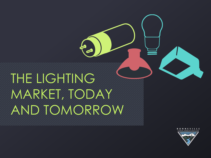# THE LIGHTING MARKET, TODAY AND TOMORROW

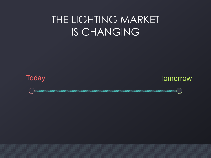### THE LIGHTING MARKET IS CHANGING



Today Tomorrow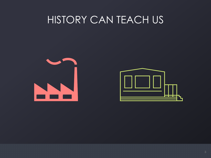#### HISTORY CAN TEACH US

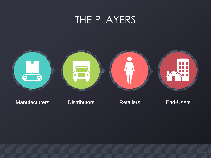#### THE PLAYERS



#### Manufacturers Distributors Retailers End-Users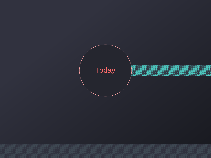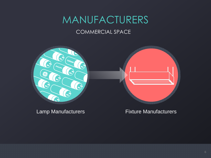### MANUFACTURERS

#### COMMERCIAL SPACE



Lamp Manufacturers Fixture Manufacturers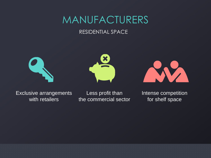#### MANUFACTURERS

#### RESIDENTIAL SPACE







Exclusive arrangements with retailers

Less profit than the commercial sector Intense competition for shelf space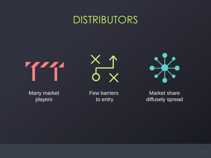#### DISTRIBUTORS







Many market players

Few barriers to entry

Market share diffusely spread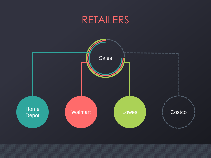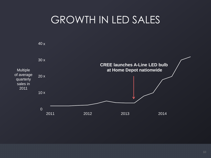### GROWTH IN LED SALES

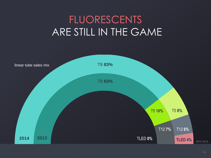## FLUORESCENTS ARE STILL IN THE GAME

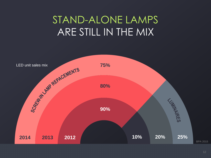## STAND-ALONE LAMPS ARE STILL IN THE MIX

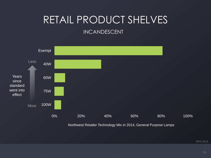# RETAIL PRODUCT SHELVES

#### INCANDESCENT



Northwest Retailer Technology Mix in 2014, General Purpose Lamps

BPA 2015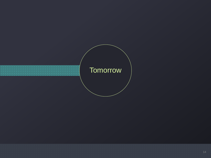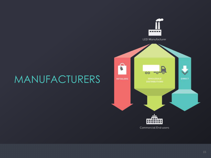## MANUFACTURERS

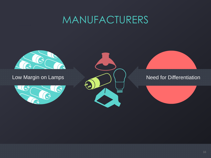### MANUFACTURERS

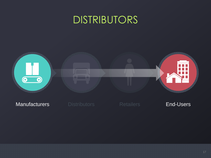### DISTRIBUTORS



#### **Manufacturers Distributors** Retailers **End-Users**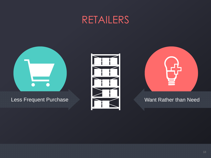#### RETAILERS



#### Less Frequent Purchase **Want Rather than Need**



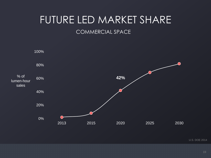## FUTURE LED MARKET SHARE

#### COMMERCIAL SPACE



U.S. DOE 2014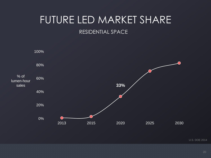# FUTURE LED MARKET SHARE

#### RESIDENTIAL SPACE



U.S. DOE 2014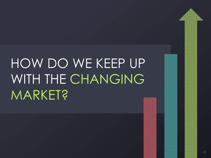# HOW DO WE KEEP UP WITH THE CHANGING **MARKET?**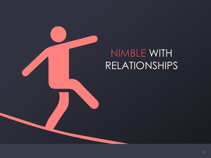

### NIMBLE WITH RELATIONSHIPS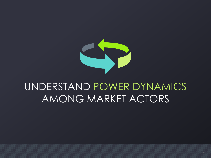

### UNDERSTAND POWER DYNAMICS AMONG MARKET ACTORS